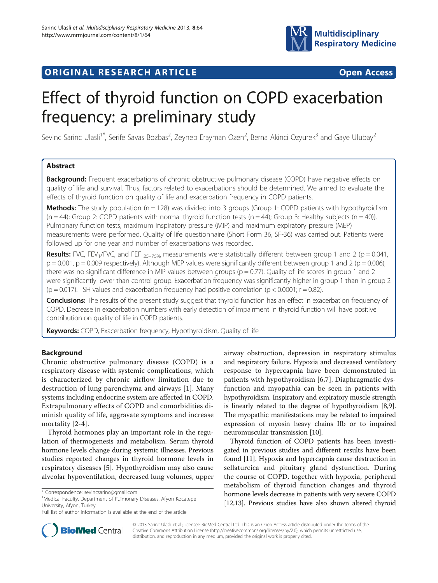

## **ORIGINAL RESEARCH ARTICLE CONSUMING ACCESS**

# Effect of thyroid function on COPD exacerbation frequency: a preliminary study

Sevinc Sarinc Ulasli<sup>1\*</sup>, Serife Savas Bozbas<sup>2</sup>, Zeynep Erayman Ozen<sup>2</sup>, Berna Akinci Ozyurek<sup>3</sup> and Gaye Ulubay<sup>2</sup>

## Abstract

**Background:** Frequent exacerbations of chronic obstructive pulmonary disease (COPD) have negative effects on quality of life and survival. Thus, factors related to exacerbations should be determined. We aimed to evaluate the effects of thyroid function on quality of life and exacerbation frequency in COPD patients.

**Methods:** The study population ( $n = 128$ ) was divided into 3 groups (Group 1: COPD patients with hypothyroidism  $(n = 44)$ ; Group 2: COPD patients with normal thyroid function tests  $(n = 44)$ ; Group 3: Healthy subjects  $(n = 40)$ ). Pulmonary function tests, maximum inspiratory pressure (MIP) and maximum expiratory pressure (MEP) measurements were performed. Quality of life questionnaire (Short Form 36, SF-36) was carried out. Patients were followed up for one year and number of exacerbations was recorded.

Results: FVC, FEV<sub>1</sub>/FVC, and FEF  $_{25-75\%}$  measurements were statistically different between group 1 and 2 (p = 0.041,  $p = 0.001$ ,  $p = 0.009$  respectively). Although MEP values were significantly different between group 1 and 2 ( $p = 0.006$ ), there was no significant difference in MIP values between groups ( $p = 0.77$ ). Quality of life scores in group 1 and 2 were significantly lower than control group. Exacerbation frequency was significantly higher in group 1 than in group 2 ( $p = 0.017$ ). TSH values and exacerbation frequency had positive correlation ( $p < 0.0001$ ;  $r = 0.82$ ).

Conclusions: The results of the present study suggest that thyroid function has an effect in exacerbation frequency of COPD. Decrease in exacerbation numbers with early detection of impairment in thyroid function will have positive contribution on quality of life in COPD patients.

Keywords: COPD, Exacerbation frequency, Hypothyroidism, Quality of life

## Background

Chronic obstructive pulmonary disease (COPD) is a respiratory disease with systemic complications, which is characterized by chronic airflow limitation due to destruction of lung parenchyma and airways [[1\]](#page-5-0). Many systems including endocrine system are affected in COPD. Extrapulmonary effects of COPD and comorbidities diminish quality of life, aggravate symptoms and increase mortality [[2-4\]](#page-5-0).

Thyroid hormones play an important role in the regulation of thermogenesis and metabolism. Serum thyroid hormone levels change during systemic illnesses. Previous studies reported changes in thyroid hormone levels in respiratory diseases [\[5](#page-5-0)]. Hypothyroidism may also cause alveolar hypoventilation, decreased lung volumes, upper

<sup>1</sup>Medical Faculty, Department of Pulmonary Diseases, Afyon Kocatepe University, Afyon, Turkey

airway obstruction, depression in respiratory stimulus and respiratory failure. Hypoxia and decreased ventilatory response to hypercapnia have been demonstrated in patients with hypothyroidism [[6,7](#page-5-0)]. Diaphragmatic dysfunction and myopathia can be seen in patients with hypothyroidism. Inspiratory and expiratory muscle strength is linearly related to the degree of hypothyroidism [[8](#page-5-0),[9](#page-5-0)]. The myopathic manifestations may be related to impaired expression of myosin heavy chains IIb or to impaired neuromuscular transmission [\[10\]](#page-5-0).

Thyroid function of COPD patients has been investigated in previous studies and different results have been found [\[11\]](#page-5-0). Hypoxia and hypercapnia cause destruction in sellaturcica and pituitary gland dysfunction. During the course of COPD, together with hypoxia, peripheral metabolism of thyroid function changes and thyroid hormone levels decrease in patients with very severe COPD [[12,13\]](#page-5-0). Previous studies have also shown altered thyroid



© 2013 Sarinc Ulasli et al.; licensee BioMed Central Ltd. This is an Open Access article distributed under the terms of the Creative Commons Attribution License (<http://creativecommons.org/licenses/by/2.0>), which permits unrestricted use, distribution, and reproduction in any medium, provided the original work is properly cited.

<sup>\*</sup> Correspondence: [sevincsarinc@gmail.com](mailto:sevincsarinc@gmail.com) <sup>1</sup>

Full list of author information is available at the end of the article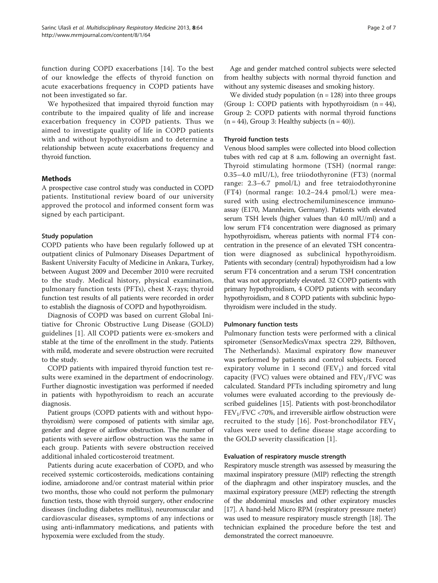function during COPD exacerbations [[14\]](#page-5-0). To the best of our knowledge the effects of thyroid function on acute exacerbations frequency in COPD patients have not been investigated so far.

We hypothesized that impaired thyroid function may contribute to the impaired quality of life and increase exacerbation frequency in COPD patients. Thus we aimed to investigate quality of life in COPD patients with and without hypothyroidism and to determine a relationship between acute exacerbations frequency and thyroid function.

## Methods

A prospective case control study was conducted in COPD patients. Institutional review board of our university approved the protocol and informed consent form was signed by each participant.

## Study population

COPD patients who have been regularly followed up at outpatient clinics of Pulmonary Diseases Department of Baskent University Faculty of Medicine in Ankara, Turkey, between August 2009 and December 2010 were recruited to the study. Medical history, physical examination, pulmonary function tests (PFTs), chest X-rays; thyroid function test results of all patients were recorded in order to establish the diagnosis of COPD and hypothyroidism.

Diagnosis of COPD was based on current Global Initiative for Chronic Obstructive Lung Disease (GOLD) guidelines [\[1](#page-5-0)]. All COPD patients were ex-smokers and stable at the time of the enrollment in the study. Patients with mild, moderate and severe obstruction were recruited to the study.

COPD patients with impaired thyroid function test results were examined in the department of endocrinology. Further diagnostic investigation was performed if needed in patients with hypothyroidism to reach an accurate diagnosis.

Patient groups (COPD patients with and without hypothyroidism) were composed of patients with similar age, gender and degree of airflow obstruction. The number of patients with severe airflow obstruction was the same in each group. Patients with severe obstruction received additional inhaled corticosteroid treatment.

Patients during acute exacerbation of COPD, and who received systemic corticosteroids, medications containing iodine, amiadorone and/or contrast material within prior two months, those who could not perform the pulmonary function tests, those with thyroid surgery, other endocrine diseases (including diabetes mellitus), neuromuscular and cardiovascular diseases, symptoms of any infections or using anti-inflammatory medications, and patients with hypoxemia were excluded from the study.

Age and gender matched control subjects were selected from healthy subjects with normal thyroid function and without any systemic diseases and smoking history.

We divided study population  $(n = 128)$  into three groups (Group 1: COPD patients with hypothyroidism  $(n = 44)$ , Group 2: COPD patients with normal thyroid functions  $(n = 44)$ , Group 3: Healthy subjects  $(n = 40)$ ).

## Thyroid function tests

Venous blood samples were collected into blood collection tubes with red cap at 8 a.m. following an overnight fast. Thyroid stimulating hormone (TSH) (normal range: 0.35–4.0 mIU/L), free triiodothyronine (FT3) (normal range: 2.3–6.7 pmol/L) and free tetraiodothyronine (FT4) (normal range: 10.2–24.4 pmol/L) were measured with using electrochemiluminescence immunoassay (E170, Mannheim, Germany). Patients with elevated serum TSH levels (higher values than 4.0 mIU/ml) and a low serum FT4 concentration were diagnosed as primary hypothyroidism, whereas patients with normal FT4 concentration in the presence of an elevated TSH concentration were diagnosed as subclinical hypothyroidism. Patients with secondary (central) hypothyroidism had a low serum FT4 concentration and a serum TSH concentration that was not appropriately elevated. 32 COPD patients with primary hypothyroidism, 4 COPD patients with secondary hypothyroidism, and 8 COPD patients with subclinic hypothyroidism were included in the study.

## Pulmonary function tests

Pulmonary function tests were performed with a clinical spirometer (SensorMedicsVmax spectra 229, Bilthoven, The Netherlands). Maximal expiratory flow maneuver was performed by patients and control subjects. Forced expiratory volume in 1 second  $(FEV_1)$  and forced vital capacity (FVC) values were obtained and  $FEV<sub>1</sub>/FVC$  was calculated. Standard PFTs including spirometry and lung volumes were evaluated according to the previously described guidelines [[15](#page-5-0)]. Patients with post-bronchodilator  $FEV<sub>1</sub>/FVC < 70%$ , and irreversible airflow obstruction were recruited to the study [[16\]](#page-5-0). Post-bronchodilator  $FEV<sub>1</sub>$ values were used to define disease stage according to the GOLD severity classification [[1\]](#page-5-0).

## Evaluation of respiratory muscle strength

Respiratory muscle strength was assessed by measuring the maximal inspiratory pressure (MIP) reflecting the strength of the diaphragm and other inspiratory muscles, and the maximal expiratory pressure (MEP) reflecting the strength of the abdominal muscles and other expiratory muscles [[17](#page-5-0)]. A hand-held Micro RPM (respiratory pressure meter) was used to measure respiratory muscle strength [\[18\]](#page-6-0). The technician explained the procedure before the test and demonstrated the correct manoeuvre.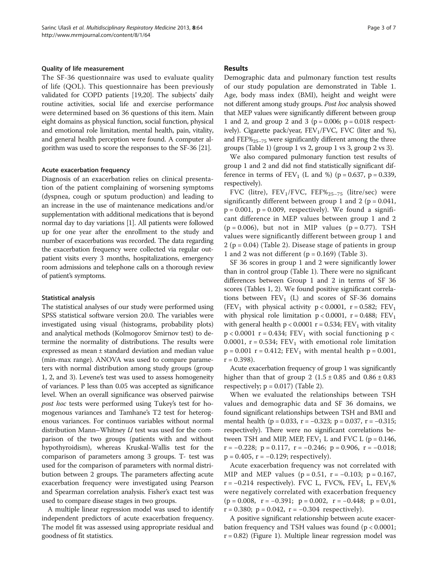#### Quality of life measurement

The SF-36 questionnaire was used to evaluate quality of life (QOL). This questionnaire has been previously validated for COPD patients [\[19,20\]](#page-6-0). The subjects' daily routine activities, social life and exercise performance were determined based on 36 questions of this item. Main eight domains as physical function, social function, physical and emotional role limitation, mental health, pain, vitality, and general health perception were found. A computer algorithm was used to score the responses to the SF-36 [\[21\]](#page-6-0).

#### Acute exacerbation frequency

Diagnosis of an exacerbation relies on clinical presentation of the patient complaining of worsening symptoms (dyspnea, cough or sputum production) and leading to an increase in the use of maintenance medications and/or supplementation with additional medications that is beyond normal day to day variations [\[1\]](#page-5-0). All patients were followed up for one year after the enrollment to the study and number of exacerbations was recorded. The data regarding the exacerbation frequency were collected via regular outpatient visits every 3 months, hospitalizations, emergency room admissions and telephone calls on a thorough review of patient's symptoms.

### Statistical analysis

The statistical analyses of our study were performed using SPSS statistical software version 20.0. The variables were investigated using visual (histograms, probability plots) and analytical methods (Kolmogorov Smirnov test) to determine the normality of distributions. The results were expressed as mean ± standard deviation and median value (min-max range). ANOVA was used to compare parameters with normal distribution among study groups (group 1, 2, and 3). Levene's test was used to assess homogeneity of variances. P less than 0.05 was accepted as significance level. When an overall significance was observed pairwise post hoc tests were performed using Tukey's test for homogenous variances and Tamhane's T2 test for heterogenous variances. For continuos variables without normal distribution Mann–Whitney  $U$  test was used for the comparison of the two groups (patients with and without hypothyroidism), whereas Kruskal-Wallis test for the comparison of parameters among 3 groups. T- test was used for the comparison of parameters with normal distribution between 2 groups. The parameters affecting acute exacerbation frequency were investigated using Pearson and Spearman correlation analysis. Fisher's exact test was used to compare disease stages in two groups.

A multiple linear regression model was used to identify independent predictors of acute exacerbation frequency. The model fit was assessed using appropriate residual and goodness of fit statistics.

### Results

Demographic data and pulmonary function test results of our study population are demonstrated in Table [1](#page-3-0). Age, body mass index (BMI), height and weight were not different among study groups. Post hoc analysis showed that MEP values were significantly different between group 1 and 2, and group 2 and 3 ( $p = 0.006$ ;  $p = 0.018$  respectively). Cigarette pack/year, FEV<sub>1</sub>/FVC, FVC (liter and %), and FEF $\%$ <sub>25–75</sub> were significantly different among the three groups (Table [1](#page-3-0)) (group 1 vs 2, group 1 vs 3, group 2 vs 3).

We also compared pulmonary function test results of group 1 and 2 and did not find statistically significant difference in terms of  $FEV_1$  (L and %) (p = 0.637, p = 0.339, respectively).

FVC (litre),  $FEV_1/FVC$ ,  $FEF\%_{25-75}$  (litre/sec) were significantly different between group 1 and 2 ( $p = 0.041$ ,  $p = 0.001$ ,  $p = 0.009$ , respectively). We found a significant difference in MEP values between group 1 and 2  $(p = 0.006)$ , but not in MIP values  $(p = 0.77)$ . TSH values were significantly different between group 1 and  $2 (p = 0.04)$  (Table [2\)](#page-4-0). Disease stage of patients in group 1 and 2 was not different ( $p = 0.169$ ) (Table [3](#page-4-0)).

SF 36 scores in group 1 and 2 were significantly lower than in control group (Table [1](#page-3-0)). There were no significant differences between Group 1 and 2 in terms of SF 36 scores (Tables [1,](#page-3-0) [2](#page-4-0)). We found positive significant correlations between  $FEV_1$  (L) and scores of SF-36 domains (FEV<sub>1</sub> with physical activity  $p < 0.0001$ ,  $r = 0.582$ ; FEV<sub>1</sub> with physical role limitation  $p < 0.0001$ ,  $r = 0.488$ ;  $FEV<sub>1</sub>$ with general health  $p < 0.0001$  r = 0.534; FEV<sub>1</sub> with vitality  $p < 0.0001$  r = 0.434;  $FEV_1$  with social functioning  $p <$ 0.0001,  $r = 0.534$ ;  $FEV_1$  with emotional role limitation  $p = 0.001$  r = 0.412; FEV<sub>1</sub> with mental health  $p = 0.001$ ,  $r = 0.398$ ).

Acute exacerbation frequency of group 1 was significantly higher than that of group 2  $(1.5 \pm 0.85$  and  $0.86 \pm 0.83$ respectively;  $p = 0.017$ ) (Table [2\)](#page-4-0).

When we evaluated the relationships between TSH values and demographic data and SF 36 domains, we found significant relationships between TSH and BMI and mental health ( $p = 0.033$ ,  $r = -0.323$ ;  $p = 0.037$ ,  $r = -0.315$ ; respectively). There were no significant correlations between TSH and MIP, MEP,  $FEV_1$  L and FVC L (p = 0.146,  $r = -0.228$ ;  $p = 0.117$ ,  $r = -0.246$ ;  $p = 0.906$ ,  $r = -0.018$ ;  $p = 0.405$ ,  $r = -0.129$ ; respectively).

Acute exacerbation frequency was not correlated with MIP and MEP values ( $p = 0.51$ ,  $r = -0.103$ ;  $p = 0.167$ , r =  $-0.214$  respectively). FVC L, FVC%, FEV<sub>1</sub> L, FEV<sub>1</sub>% were negatively correlated with exacerbation frequency  $(p = 0.008, r = -0.391; p = 0.002, r = -0.448; p = 0.01,$  $r = 0.380$ ;  $p = 0.042$ ,  $r = -0.304$  respectively).

A positive significant relationship between acute exacerbation frequency and TSH values was found (p < 0.0001;  $r = 0.82$ ) (Figure [1\)](#page-4-0). Multiple linear regression model was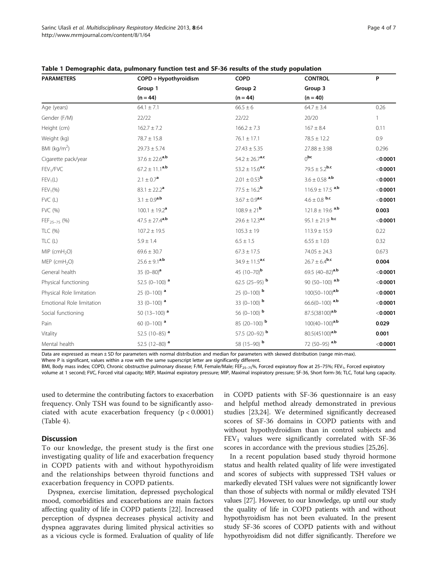| <b>PARAMETERS</b>          | COPD + Hypothyroidism          | <b>COPD</b>                    | <b>CONTROL</b>                  | P            |
|----------------------------|--------------------------------|--------------------------------|---------------------------------|--------------|
|                            | Group 1                        | Group 2                        | Group 3                         |              |
|                            | $(n = 44)$                     | $(n = 44)$                     | $(n = 40)$                      |              |
| Age (years)                | $64.1 \pm 7.1$                 | $66.5 \pm 6$                   | $64.7 \pm 3.4$                  | 0.26         |
| Gender (F/M)               | 22/22                          | 22/22                          | 20/20                           | $\mathbf{1}$ |
| Height (cm)                | $162.7 \pm 7.2$                | $166.2 \pm 7.3$                | $167 \pm 8.4$                   | 0.11         |
| Weight (kg)                | $78.7 \pm 15.8$                | $76.1 \pm 17.1$                | $78.5 \pm 12.2$                 | 0.9          |
| BMI (kg/m <sup>2</sup> )   | $29.73 \pm 5.74$               | $27.43 \pm 5.35$               | $27.88 \pm 3.98$                | 0.296        |
| Cigarette pack/year        | $37.6 \pm 22.6$ <sup>a,b</sup> | $54.2 \pm 26.7$ <sup>a,c</sup> | 0 <sub>pc</sub>                 | $<$ 0.0001   |
| FEV <sub>1</sub> /FVC      | $67.2 \pm 11.1^{a,b}$          | 53.2 $\pm$ 15.6 <sup>a,c</sup> | 79.5 $\pm$ 5.2 <sup>b,c</sup>   | $<$ 0.0001   |
| $FEV_1(L)$                 | $2.1 \pm 0.7^{\rm a}$          | $2.01 \pm 0.53^{\text{b}}$     | $3.6 \pm 0.58$ <sup>a,b</sup>   | < 0.0001     |
| $FEV_1(\%)$                | $83.1 \pm 22.2^{\text{a}}$     | $77.5 \pm 16.2^{\rm b}$        | $116.9 \pm 17.5$ <sup>a,b</sup> | < 0.0001     |
| FVC (L)                    | $3.1 \pm 0.9^{a,b}$            | $3.67 \pm 0.9^{\rm a.c}$       | $4.6 \pm 0.8$ b,c               | < 0.0001     |
| FVC (%)                    | $100.1 \pm 19.2^{\text{a}}$    | $108.9 \pm 21^{\rm b}$         | $121.8 \pm 19.6$ <sup>a,b</sup> | 0.003        |
| FEF <sub>25-75</sub> (%)   | $47.5 \pm 27.4$ <sup>a,b</sup> | $29.6 \pm 12.3$ <sup>a,c</sup> | $95.1 \pm 21.9$ b,c             | < 0.0001     |
| TLC (%)                    | $107.2 \pm 19.5$               | $105.3 \pm 19$                 | $113.9 \pm 15.9$                | 0.22         |
| TLC(L)                     | $5.9 \pm 1.4$                  | $6.5 \pm 1.5$                  | $6.55 \pm 1.03$                 | 0.32         |
| $MIP$ (cmH <sub>2</sub> O) | $69.6 \pm 30.7$                | $67.3 \pm 17.5$                | $74.05 \pm 24.3$                | 0.673        |
| MEP (cmH <sub>2</sub> O)   | $25.6 \pm 9.1^{a,b}$           | $34.9 \pm 11.5$ <sup>a,c</sup> | $26.7 \pm 6.4^{\rm b,c}$        | 0.004        |
| General health             | 35 $(0-80)$ <sup>a</sup>       | 45 $(10-70)^{b}$               | 69.5 $(40-82)^{a,b}$            | $<$ 0.0001   |
| Physical functioning       | 52.5 (0-100) $a$               | 62.5 (25-95) <b>b</b>          | 90 (50-100) $a,b$               | < 0.0001     |
| Physical Role limitation   | $25(0-100)$ <sup>a</sup>       | 25 (0-100) $b$                 | $100(50-100)^{a,b}$             | < 0.0001     |
| Emotional Role limitation  | 33 (0-100) $^a$                | 33 (0-100) $b$                 | $66.6(0-100)$ a,b               | $<$ 0.0001   |
| Social functioning         | 50 $(13-100)$ <sup>a</sup>     | 56 (0-100) <b>b</b>            | 87.5(38100) <sup>a,b</sup>      | < 0.0001     |
| Pain                       | 60 $(0-100)$ <sup>a</sup>      | 85 (20-100) $b$                | $100(40 - 100)^{a,b}$           | 0.029        |
| Vitality                   | 52.5 (10-85) <sup>a</sup>      | 57.5 (20-92) b                 | 80.5(45100) <sup>a,b</sup>      | 0.001        |

<span id="page-3-0"></span>Table 1 Demographic data, pulmonary function test and SF-36 results of the study population

Data are expressed as mean ± SD for parameters with normal distribution and median for parameters with skewed distribution (range min-max).

Where P is significant, values within a row with the same superscript letter are significantly different.

BMI, Body mass index; COPD, Chronic obstructive pulmonary disease; F/M, Female/Male; FEF<sub>25-75</sub>%, Forced expiratory flow at 25-75%; FEV<sub>1</sub>, Forced expiratory volume at 1 second; FVC, Forced vital capacity; MEP, Maximal expiratory pressure; MIP, Maximal inspiratory pressure; SF-36, Short form-36; TLC, Total lung capacity.

Mental health 52.5 (12–80) **a** 52.5 (12–80) **b** 58 (15–90) **b** 72 (50–95) a,**b** <**0.0001** 

used to determine the contributing factors to exacerbation frequency. Only TSH was found to be significantly associated with acute exacerbation frequency (p < 0.0001) (Table [4](#page-4-0)).

## **Discussion**

To our knowledge, the present study is the first one investigating quality of life and exacerbation frequency in COPD patients with and without hypothyroidism and the relationships between thyroid functions and exacerbation frequency in COPD patients.

Dyspnea, exercise limitation, depressed psychological mood, comorbidities and exacerbations are main factors affecting quality of life in COPD patients [[22\]](#page-6-0). Increased perception of dyspnea decreases physical activity and dyspnea aggravates during limited physical activities so as a vicious cycle is formed. Evaluation of quality of life in COPD patients with SF-36 questionnaire is an easy and helpful method already demonstrated in previous studies [\[23,24\]](#page-6-0). We determined significantly decreased scores of SF-36 domains in COPD patients with and without hypothydroidism than in control subjects and  $FEV<sub>1</sub>$  values were significantly correlated with SF-36 scores in accordance with the previous studies [\[25,26\]](#page-6-0).

In a recent population based study thyroid hormone status and health related quality of life were investigated and scores of subjects with suppressed TSH values or markedly elevated TSH values were not significantly lower than those of subjects with normal or mildly elevated TSH values [[27](#page-6-0)]. However, to our knowledge, up until our study the quality of life in COPD patients with and without hypothyroidism has not been evaluated. In the present study SF-36 scores of COPD patients with and without hypothyroidism did not differ significantly. Therefore we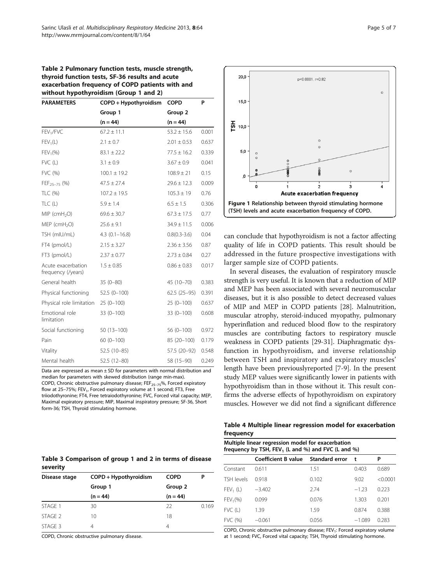<span id="page-4-0"></span>

| Table 2 Pulmonary function tests, muscle strength, |
|----------------------------------------------------|
| thyroid function tests, SF-36 results and acute    |
| exacerbation frequency of COPD patients with and   |
| without hypothyroidism (Group 1 and 2)             |

| <b>PARAMETERS</b>                        | COPD + Hypothyroidism | <b>COPD</b>      | P     |
|------------------------------------------|-----------------------|------------------|-------|
|                                          | Group 1               | Group 2          |       |
|                                          | $(n = 44)$            | $(n = 44)$       |       |
| FEV <sub>1</sub> /FVC                    | $67.2 \pm 11.1$       | $53.2 \pm 15.6$  | 0.001 |
| $FEV_1(L)$                               | $2.1 \pm 0.7$         | $2.01 \pm 0.53$  | 0.637 |
| $FEV_1(\%)$                              | $83.1 \pm 22.2$       | $77.5 \pm 16.2$  | 0.339 |
| $FVC$ (L)                                | $3.1 \pm 0.9$         | $3.67 \pm 0.9$   | 0.041 |
| FVC (%)                                  | $100.1 \pm 19.2$      | $108.9 \pm 21$   | 0.15  |
| FEF <sub>25-75</sub> (%)                 | $47.5 \pm 27.4$       | $29.6 \pm 12.3$  | 0.009 |
| TLC (%)                                  | $107.2 \pm 19.5$      | $105.3 \pm 19$   | 0.76  |
| TLC(L)                                   | $5.9 \pm 1.4$         | $6.5 \pm 1.5$    | 0.306 |
| $MIP$ (cmH <sub>2</sub> O)               | $69.6 \pm 30.7$       | $67.3 \pm 17.5$  | 0.77  |
| $MEP$ (cmH <sub>2</sub> O)               | $25.6 \pm 9.1$        | $34.9 \pm 11.5$  | 0.006 |
| TSH (mIU/mL)                             | $4.3(0.1 - 16.8)$     | $0.8(0.3 - 3.6)$ | 0.04  |
| FT4 (pmol/L)                             | $2.15 \pm 3.27$       | $2.36 \pm 3.56$  | 0.87  |
| FT3 (pmol/L)                             | $2.37 \pm 0.77$       | $2.73 \pm 0.84$  | 0.27  |
| Acute exacerbation<br>frequency (/years) | $1.5 \pm 0.85$        | $0.86 \pm 0.83$  | 0.017 |
| General health                           | $35(0-80)$            | 45 (10-70)       | 0.383 |
| Physical functioning                     | $52.5(0-100)$         | $62.5(25-95)$    | 0.391 |
| Physical role limitation                 | $25(0-100)$           | $25(0-100)$      | 0.637 |
| Emotional role<br>limitation             | $33(0 - 100)$         | $33(0 - 100)$    | 0.608 |
| Social functioning                       | $50(13 - 100)$        | $56(0-100)$      | 0.972 |
| Pain                                     | $60(0-100)$           | 85 (20-100)      | 0.179 |
| Vitality                                 | 52.5 (10-85)          | 57.5 (20-92)     | 0.548 |
| Mental health                            | 52.5 (12-80)          | 58 (15-90)       | 0.249 |

Data are expressed as mean  $\pm$  SD for parameters with normal distribution and median for parameters with skewed distribution (range min-max). COPD, Chronic obstructive pulmonary disease;  $FEF_{25-75}$ %, Forced expiratory flow at 25-75%; FEV<sub>1</sub>, Forced expiratory volume at 1 second; FT3, Free triiodothyronine; FT4, Free tetraiodothyronine; FVC, Forced vital capacity; MEP, Maximal expiratory pressure; MIP, Maximal inspiratory pressure; SF-36, Short form-36; TSH, Thyroid stimulating hormone.

| Table 3 Comparison of group 1 and 2 in terms of disease |  |  |  |  |
|---------------------------------------------------------|--|--|--|--|
| severity                                                |  |  |  |  |

| Disease stage | COPD + Hypothyroidism | <b>COPD</b> |       |
|---------------|-----------------------|-------------|-------|
|               | Group 1               | Group 2     |       |
|               | $(n = 44)$            | $(n = 44)$  |       |
| STAGE 1       | 30                    | 22          | 0.169 |
| STAGE 2       | 10                    | 18          |       |
| STAGE 3       |                       | 4           |       |

COPD, Chronic obstructive pulmonary disease.



can conclude that hypothyroidism is not a factor affecting quality of life in COPD patients. This result should be addressed in the future prospective investigations with larger sample size of COPD patients.

In several diseases, the evaluation of respiratory muscle strength is very useful. It is known that a reduction of MIP and MEP has been associated with several neuromuscular diseases, but it is also possible to detect decreased values of MIP and MEP in COPD patients [[28](#page-6-0)]. Malnutrition, muscular atrophy, steroid-induced myopathy, pulmonary hyperinflation and reduced blood flow to the respiratory muscles are contributing factors to respiratory muscle weakness in COPD patients [\[29-31\]](#page-6-0). Diaphragmatic dysfunction in hypothyroidism, and inverse relationship between TSH and inspiratory and expiratory muscles' length have been previouslyreported [\[7-9](#page-5-0)]. In the present study MEP values were significantly lower in patients with hypothyroidism than in those without it. This result confirms the adverse effects of hypothyroidism on expiratory muscles. However we did not find a significant difference

Table 4 Multiple linear regression model for exacerbation frequency

| Multiple linear regression model for exacerbation<br>frequency by TSH, $FEV_1$ (L and %) and FVC (L and %) |                                    |       |          |          |  |
|------------------------------------------------------------------------------------------------------------|------------------------------------|-------|----------|----------|--|
|                                                                                                            | Coefficient B value Standard error |       | t        | P        |  |
| Constant                                                                                                   | 0.611                              | 151   | 0.403    | 0.689    |  |
| TSH levels                                                                                                 | 0.918                              | 0.102 | 9.02     | < 0.0001 |  |
| $FEV_1(L)$                                                                                                 | $-3.402$                           | 274   | $-1.23$  | 0.223    |  |
| FEV <sub>1</sub> (% )                                                                                      | 0.099                              | 0.076 | 1.303    | 0.201    |  |
| $FVC$ (L)                                                                                                  | 1.39                               | 1.59  | 0.874    | 0.388    |  |
| FVC (%)                                                                                                    | $-0.061$                           | 0.056 | $-1.089$ | 0.283    |  |

COPD, Chronic obstructive pulmonary disease; FEV<sub>1</sub>: Forced expiratory volume at 1 second; FVC, Forced vital capacity; TSH, Thyroid stimulating hormone.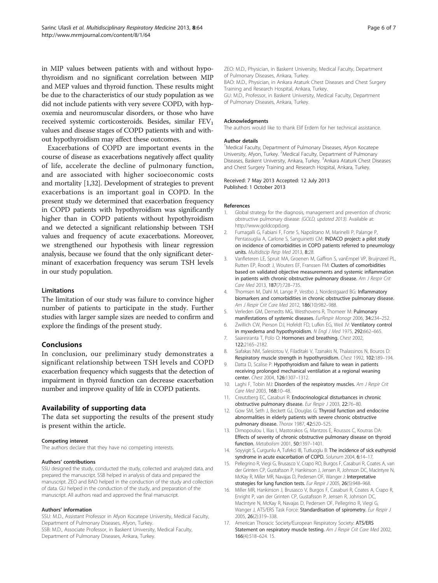<span id="page-5-0"></span>in MIP values between patients with and without hypothyroidism and no significant correlation between MIP and MEP values and thyroid function. These results might be due to the characteristics of our study population as we did not include patients with very severe COPD, with hypoxemia and neuromuscular disorders, or those who have received systemic corticosteroids. Besides, similar  $FEV<sub>1</sub>$ values and disease stages of COPD patients with and without hypothyroidism may affect these outcomes.

Exacerbations of COPD are important events in the course of disease as exacerbations negatively affect quality of life, accelerate the decline of pulmonary function, and are associated with higher socioeconomic costs and mortality [1[,32](#page-6-0)]. Development of strategies to prevent exacerbations is an important goal in COPD. In the present study we determined that exacerbation frequency in COPD patients with hypothyroidism was significantly higher than in COPD patients without hypothyroidism and we detected a significant relationship between TSH values and frequency of acute exacerbations. Moreover, we strengthened our hypothesis with linear regression analysis, because we found that the only significant determinant of exacerbation frequency was serum TSH levels in our study population.

## Limitations

The limitation of our study was failure to convince higher number of patients to participate in the study. Further studies with larger sample sizes are needed to confirm and explore the findings of the present study.

## Conclusions

In conclusion, our preliminary study demonstrates a significant relationship between TSH levels and COPD exacerbation frequency which suggests that the detection of impairment in thyroid function can decrease exacerbation number and improve quality of life in COPD patients.

## Availability of supporting data

The data set supporting the results of the present study is present within the article.

#### Competing interest

The authors declare that they have no competing interests.

#### Authors' contributions

SSU designed the study, conducted the study, collected and analyzed data, and prepared the manuscript. SSB helped in analysis of data and prepared the manuscript. ZEO and BAO helped in the conduction of the study and collection of data. GU helped in the conduction of the study, and preparation of the manuscript. All authors read and approved the final manuscript.

#### Authors' information

SSU: M.D., Assistant Professor in Afyon Kocatepe University, Medical Faculty, Department of Pulmonary Diseases, Afyon, Turkey. SSB: M.D., Associate Professor, in Baskent University, Medical Faculty, Department of Pulmonary Diseases, Ankara, Turkey.

ZEO: M.D., Physician, in Baskent University, Medical Faculty, Department of Pulmonary Diseases, Ankara, Turkey.

BAO: M.D., Physician, in Ankara Ataturk Chest Diseases and Chest Surgery Training and Research Hospital, Ankara, Turkey.

GU: M.D., Professor, in Baskent University, Medical Faculty, Department of Pulmonary Diseases, Ankara, Turkey.

#### Acknowledgments

The authors would like to thank Elif Erdem for her technical assistance.

#### Author details

<sup>1</sup>Medical Faculty, Department of Pulmonary Diseases, Afyon Kocatepe University, Afyon, Turkey. <sup>2</sup>Medical Faculty, Department of Pulmonary Diseases, Baskent University, Ankara, Turkey. <sup>3</sup>Ankara Ataturk Chest Diseases and Chest Surgery Training and Research Hospital, Ankara, Turkey.

#### Received: 7 May 2013 Accepted: 12 July 2013 Published: 1 October 2013

#### References

- 1. Global strategy for the diagnosis, management and prevention of chronic obstructive pulmonary disease: (GOLD, updated 2013). Available at: [http://www.goldcopd.org.](http://www.goldcopd.org)
- 2. Fumagalli G, Fabiani F, Forte S, Napolitano M, Marinelli P, Palange P, Pentassuglia A, Carlone S, Sanguinetti CM: INDACO project: a pilot study on incidence of comorbidities in COPD patients referred to pneumology units. Multidiscip Resp Med 2013, 8:28.
- 3. Vanfleteren LE, Spruit MA, Groenen M, Gaffron S, vanEmpel VP, Bruijnzeel PL, Rutten EP, Roodt J, Wouters EF, Franssen FM: Clusters of comorbidities based on validated objective measurements and systemic inflammation in patients with chronic obstructive pulmonary disease. Am J Respir Crit Care Med 2013, 187(7):728–735.
- 4. Thomsen M, Dahl M, Lange P, Vestbo J, Nordestgaard BG: Inflammatory biomarkers and comorbidities in chronic obstructive pulmonary disease. Am J Respir Crit Care Med 2012, 186(10):982–988.
- 5. Verleden GM, Demedts MG, Westhovens R, Thomeer M: Pulmonary manifestations of systemic diseases. EurRespir Monogr 2006, 34:234–252.
- 6. Zwillich CW, Pierson DJ, Hofeldt FD, Lufkin EG, Weil JV: Ventilatory control in myxedema and hypothyroidism. N Engl J Med 1975, 292:662-665.
- 7. Saaresranta T, Polo O: Hormones and breathing. Chest 2002, 122:2165–2182.
- 8. Siafakas NM, Salesiotou V, Filaditaki V, Tzanakis N, Thalassinos N, Bouros D: Respiratory muscle strength in hypothyroidism. Chest 1992, 102:189–194.
- 9. Datta D, Scalise P: Hypothyroidism and failure to wean in patients receiving prolonged mechanical ventilation at a regional weaning center. Chest 2004, 126:1307–1312.
- 10. Laghi F, Tobin MJ: Disorders of the respiratory muscles. Am J Respir Crit Care Med 2003, 168:10–48.
- 11. Creutzberg EC, Casaburi R: Endocrinological disturbances in chronic obstructive pulmonary disease. Eur Respir J 2003, 22:76–80.
- 12. Gow SM, Seth J, Beckett GJ, Douglas G: Thyroid function and endocrine abnormalities in elderly patients with severe chronic obstructive pulmonary disease. Thorax 1987, 42:520–525.
- 13. Dimopoulou I, Ilias I, Mastorakos G, Mantzos E, Roussos C, Koutras DA: Effects of severity of chronic obstructive pulmonary disease on thyroid function. Metabolism 2001, 50:1397–1401.
- 14. Soyyigit S, Curgunlu A, Tufekci IB, Tutluoglu B: The incidence of sick euthyroid syndrome in acute exacerbation of COPD. Solunum 2004, 6:14–17.
- 15. Pellegrino R, Viegi G, Brusasco V, Crapo RO, Burgos F, Casaburi R, Coates A, van der Grinten CP, Gustafsson P, Hankinson J, Jensen R, Johnson DC, MacIntyre N, McKay R, Miller MR, Navajas D, Pedersen OF, Wanger J: Interpretative strategies for lung function tests. Eur Respir J 2005, 26(5):948–968.
- 16. Miller MR, Hankinson J, Brusasco V, Burgos F, Casaburi R, Coates A, Crapo R, Enright P, van der Grinten CP, Gustafsson P, Jensen R, Johnson DC, MacIntyre N, McKay R, Navajas D, Pedersen OF, Pellegrino R, Viegi G, Wanger J, ATS/ERS Task Force: Standardisation of spirometry. Eur Respir J 2005, 26(2):319–338.
- 17. American Thoracic Society/European Respiratory Society: ATS/ERS Statement on respiratory muscle testing. Am J Respir Crit Care Med 2002, 166(4):518–624. 15.